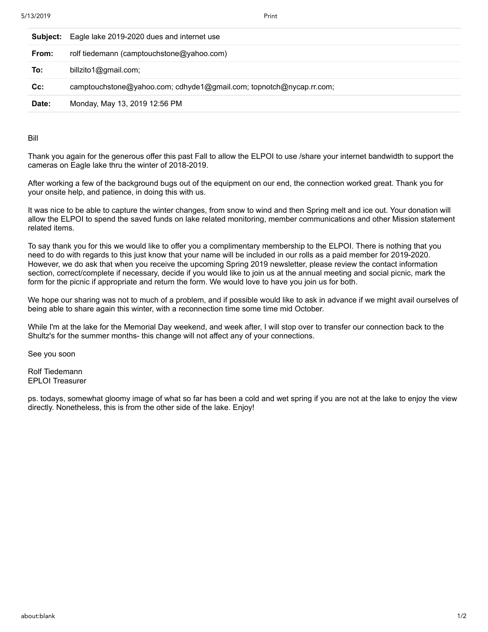| Subject: | Eagle lake 2019-2020 dues and internet use                          |
|----------|---------------------------------------------------------------------|
| From:    | rolf tiedemann (camptouchstone@yahoo.com)                           |
| To:      | billzito1@gmail.com;                                                |
| $Cc$ :   | camptouchstone@yahoo.com; cdhyde1@gmail.com; topnotch@nycap.rr.com; |
| Date:    | Monday, May 13, 2019 12:56 PM                                       |

Bill

Thank you again for the generous offer this past Fall to allow the ELPOI to use /share your internet bandwidth to support the cameras on Eagle lake thru the winter of 2018-2019.

After working a few of the background bugs out of the equipment on our end, the connection worked great. Thank you for your onsite help, and patience, in doing this with us.

It was nice to be able to capture the winter changes, from snow to wind and then Spring melt and ice out. Your donation will allow the ELPOI to spend the saved funds on lake related monitoring, member communications and other Mission statement related items.

To say thank you for this we would like to offer you a complimentary membership to the ELPOI. There is nothing that you need to do with regards to this just know that your name will be included in our rolls as a paid member for 2019-2020. However, we do ask that when you receive the upcoming Spring 2019 newsletter, please review the contact information section, correct/complete if necessary, decide if you would like to join us at the annual meeting and social picnic, mark the form for the picnic if appropriate and return the form. We would love to have you join us for both.

We hope our sharing was not to much of a problem, and if possible would like to ask in advance if we might avail ourselves of being able to share again this winter, with a reconnection time some time mid October.

While I'm at the lake for the Memorial Day weekend, and week after, I will stop over to transfer our connection back to the Shultz's for the summer months- this change will not affect any of your connections.

See you soon

Rolf Tiedemann EPLOI Treasurer

ps. todays, somewhat gloomy image of what so far has been a cold and wet spring if you are not at the lake to enjoy the view directly. Nonetheless, this is from the other side of the lake. Enjoy!